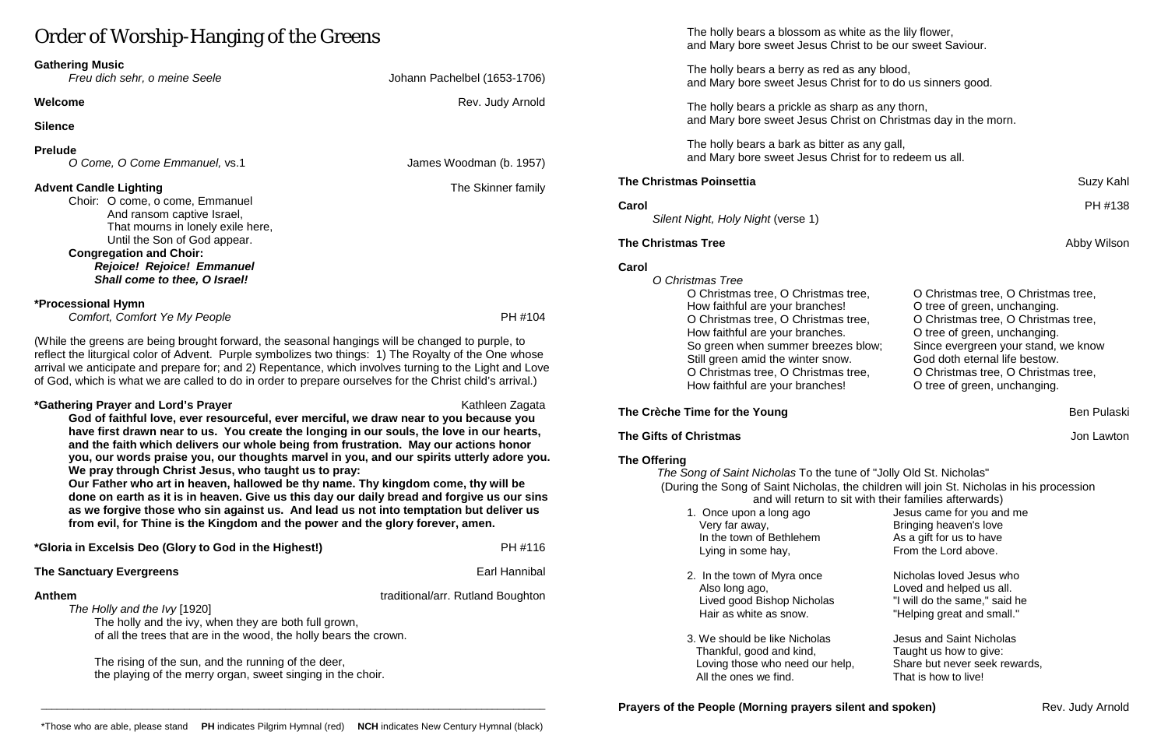# Order of Worship-Hanging of the Greens

# **Gathering Music**

## **Silence**

# **Prelude**

*O Come, O Come Emmanuel,* vs.1 James Woodman (b. 1957)

# **Advent Candle Lighting** The Skinner family

Choir: O come, o come, Emmanuel And ransom captive Israel, That mourns in lonely exile here, Until the Son of God appear. **Congregation and Choir:**

## *Rejoice! Rejoice! Emmanuel Shall come to thee, O Israel!*

## **\*Processional Hymn**

*Comfort, Comfort Ye My People* PH #104

(While the greens are being brought forward, the seasonal hangings will be changed to purple, to reflect the liturgical color of Advent. Purple symbolizes two things: 1) The Royalty of the One whose arrival we anticipate and prepare for; and 2) Repentance, which involves turning to the Light and Love of God, which is what we are called to do in order to prepare ourselves for the Christ child's arrival.)

## **\*Gathering Prayer and Lord's Prayer** Kathleen Zagata Kathleen Zagata

**God of faithful love, ever resourceful, ever merciful, we draw near to you because you have first drawn near to us. You create the longing in our souls, the love in our hearts, and the faith which delivers our whole being from frustration. May our actions honor you, our words praise you, our thoughts marvel in you, and our spirits utterly adore you. We pray through Christ Jesus, who taught us to pray:**

**Our Father who art in heaven, hallowed be thy name. Thy kingdom come, thy will be done on earth as it is in heaven. Give us this day our daily bread and forgive us our sins as we forgive those who sin against us. And lead us not into temptation but deliver us from evil, for Thine is the Kingdom and the power and the glory forever, amen.**

*The Song of Saint Nicholas* To the tune of "Jolly Old St. Nicholas" (During the Song of Saint Nicholas, the children will join St. Nicholas in his procession and will return to sit with their families afterwards) 1. Once upon a long ago Jesus came for you and me Very far away,<br>
In the town of Bethlehem<br>
As a gift for us to have In the town of Bethlehem Lying in some hay, From the Lord above.

- 
- 2. In the town of Myra once Nicholas loved Jesus who Also long ago, Loved and helped us all. Lived good Bishop Nicholas "I will do the same," said he Hair as white as snow. "Helping great and small."
- 3. We should be like Nicholas Jesus and Saint Nicholas Thankful, good and kind, Thaught us how to give: Loving those who need our help,<br>All the ones we find.<br>That is how to live! All the ones we find.

**Prayers of the People (Morning prayers silent and spoken)** Rev. Judy Arnold

| *Gloria in Excelsis Deo (Glory to God in the Highest!) | PH #116 |
|--------------------------------------------------------|---------|
|                                                        |         |

## **The Sanctuary Evergreens** Earl Hannibal

**Anthem** traditional/arr. Rutland Boughton

*The Holly and the Ivy* [1920] The holly and the ivy, when they are both full grown, of all the trees that are in the wood, the holly bears the crown.

The rising of the sun, and the running of the deer, the playing of the merry organ, sweet singing in the choir.

The holly bears a blossom as white as the lily flower, and Mary bore sweet Jesus Christ to be our sweet Saviour.

The holly bears a berry as red as any blood, and Mary bore sweet Jesus Christ for to do us sinners good.

The holly bears a prickle as sharp as any thorn, and Mary bore sweet Jesus Christ on Christmas day in the morn.

The holly bears a bark as bitter as any gall, and Mary bore sweet Jesus Christ for to redeem us all.

# **The Christmas Poinsettia** Suzy Kahl

**Carol** PH #138

*Silent Night, Holy Night* (verse 1)

## **The Christmas Tree** Abby Wilson

## **Carol**

*O Christmas Tree* O Christmas tree, O Christmas tree How faithful are your branches! O Christmas tree, O Christmas tree How faithful are your branches. So green when summer breezes b Still green amid the winter snow. O Christmas tree, O Christmas tree How faithful are your branches!

# **The Crèche Time for the Young** Ben Pulaski

| O Christmas tree, O Christmas tree, |
|-------------------------------------|
| O tree of green, unchanging.        |
| O Christmas tree, O Christmas tree, |
| O tree of green, unchanging.        |
| Since evergreen your stand, we know |
| God doth eternal life bestow.       |
| O Christmas tree, O Christmas tree, |
| O tree of green, unchanging.        |
|                                     |

# **The Gifts of Christmas** Jon Lawton

# **The Offering**

Johann Pachelbel (1653-1706)

**Welcome Rev. Judy Arnold Rev. Judy Arnold**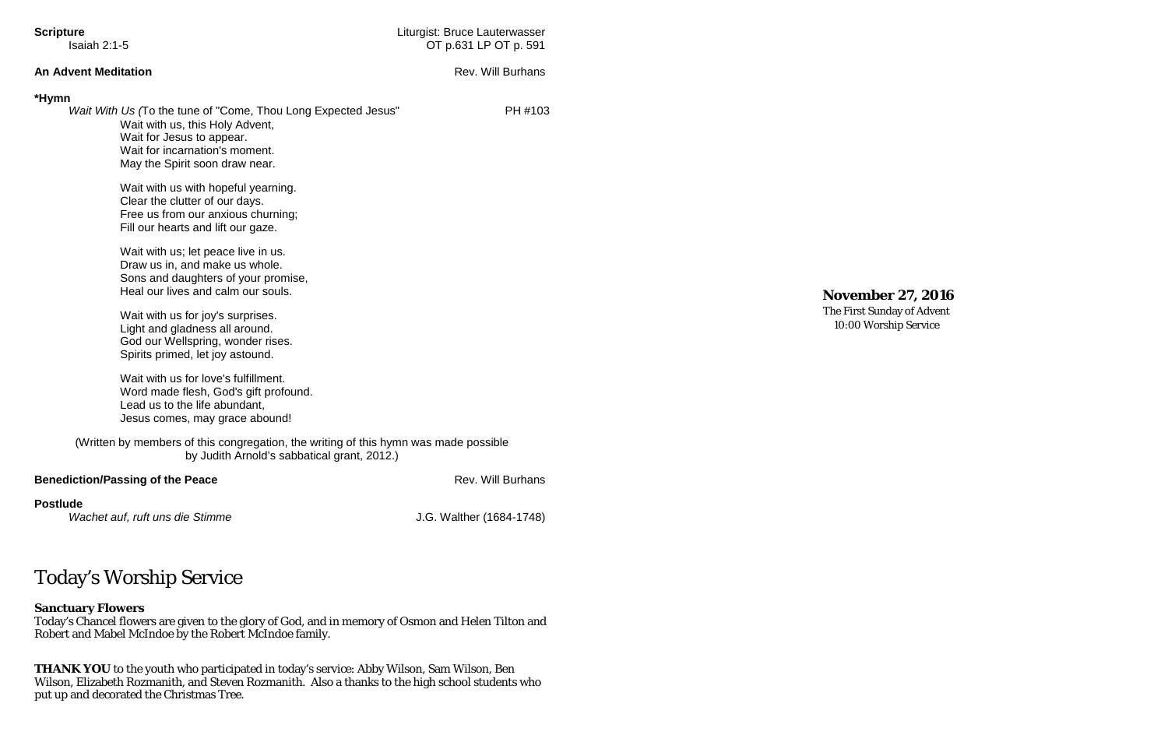| <b>Scripture</b>                                   |                                                                                                                                                                                                                                                                            | Liturgist: Bruce Lauterwasser |  |
|----------------------------------------------------|----------------------------------------------------------------------------------------------------------------------------------------------------------------------------------------------------------------------------------------------------------------------------|-------------------------------|--|
| Isaiah $2:1-5$                                     |                                                                                                                                                                                                                                                                            | OT p.631 LP OT p. 591         |  |
| <b>An Advent Meditation</b>                        |                                                                                                                                                                                                                                                                            | <b>Rev. Will Burhans</b>      |  |
| *Hymn                                              | Wait With Us (To the tune of "Come, Thou Long Expected Jesus"<br>Wait with us, this Holy Advent,<br>Wait for Jesus to appear.<br>Wait for incarnation's moment.<br>May the Spirit soon draw near.<br>Wait with us with hopeful yearning.<br>Clear the clutter of our days. | PH #103                       |  |
|                                                    | Free us from our anxious churning;<br>Fill our hearts and lift our gaze.<br>Wait with us; let peace live in us.<br>Draw us in, and make us whole.<br>Sons and daughters of your promise,<br>Heal our lives and calm our souls.                                             |                               |  |
|                                                    | Wait with us for joy's surprises.<br>Light and gladness all around.<br>God our Wellspring, wonder rises.<br>Spirits primed, let joy astound.                                                                                                                               |                               |  |
|                                                    | Wait with us for love's fulfillment.<br>Word made flesh, God's gift profound.<br>Lead us to the life abundant,<br>Jesus comes, may grace abound!                                                                                                                           |                               |  |
|                                                    | (Written by members of this congregation, the writing of this hymn was made possible<br>by Judith Arnold's sabbatical grant, 2012.)                                                                                                                                        |                               |  |
| <b>Benediction/Passing of the Peace</b>            |                                                                                                                                                                                                                                                                            | <b>Rev. Will Burhans</b>      |  |
| <b>Postlude</b><br>Wachet auf, ruft uns die Stimme |                                                                                                                                                                                                                                                                            | J.G. Walther (1684-1748)      |  |

# Today's Worship Service

# **Sanctuary Flowers**

Today's Chancel flowers are given to the glory of God, and in memory of Osmon and Helen Tilton and Robert and Mabel McIndoe by the Robert McIndoe family.

**THANK YOU** to the youth who participated in today's service: Abby Wilson, Sam Wilson, Ben Wilson, Elizabeth Rozmanith, and Steven Rozmanith. Also a thanks to the high school students who put up and decorated the Christmas Tree.

**November 27, 2016**

The First Sunday of Advent 10:00 Worship Service